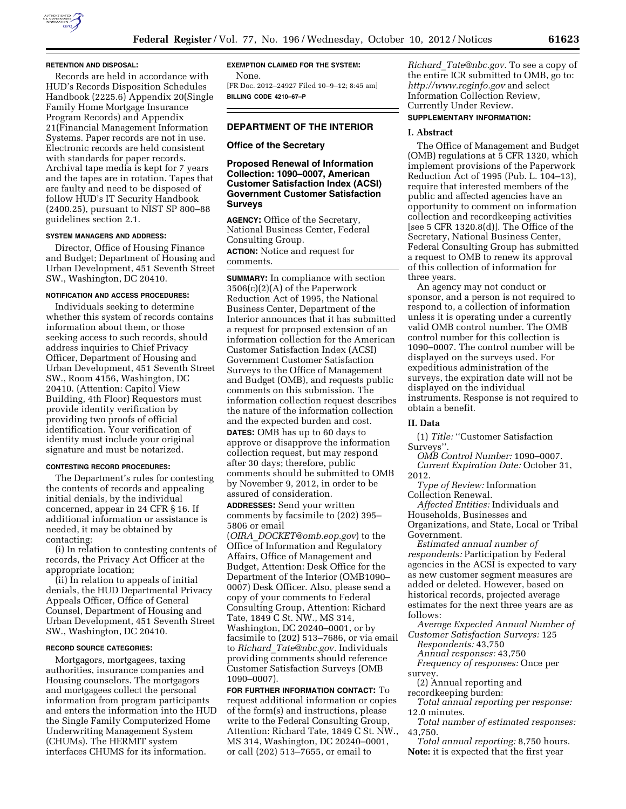

#### **RETENTION AND DISPOSAL:**

Records are held in accordance with HUD's Records Disposition Schedules Handbook (2225.6) Appendix 20(Single Family Home Mortgage Insurance Program Records) and Appendix 21(Financial Management Information Systems. Paper records are not in use. Electronic records are held consistent with standards for paper records. Archival tape media is kept for 7 years and the tapes are in rotation. Tapes that are faulty and need to be disposed of follow HUD's IT Security Handbook (2400.25), pursuant to NIST SP 800–88 guidelines section 2.1.

### **SYSTEM MANAGERS AND ADDRESS:**

Director, Office of Housing Finance and Budget; Department of Housing and Urban Development, 451 Seventh Street SW., Washington, DC 20410.

### **NOTIFICATION AND ACCESS PROCEDURES:**

Individuals seeking to determine whether this system of records contains information about them, or those seeking access to such records, should address inquiries to Chief Privacy Officer, Department of Housing and Urban Development, 451 Seventh Street SW., Room 4156, Washington, DC 20410. (Attention: Capitol View Building, 4th Floor) Requestors must provide identity verification by providing two proofs of official identification. Your verification of identity must include your original signature and must be notarized.

## **CONTESTING RECORD PROCEDURES:**

The Department's rules for contesting the contents of records and appealing initial denials, by the individual concerned, appear in 24 CFR § 16. If additional information or assistance is needed, it may be obtained by contacting:

(i) In relation to contesting contents of records, the Privacy Act Officer at the appropriate location;

(ii) In relation to appeals of initial denials, the HUD Departmental Privacy Appeals Officer, Office of General Counsel, Department of Housing and Urban Development, 451 Seventh Street SW., Washington, DC 20410.

#### **RECORD SOURCE CATEGORIES:**

Mortgagors, mortgagees, taxing authorities, insurance companies and Housing counselors. The mortgagors and mortgagees collect the personal information from program participants and enters the information into the HUD the Single Family Computerized Home Underwriting Management System (CHUMs). The HERMIT system interfaces CHUMS for its information.

#### **EXEMPTION CLAIMED FOR THE SYSTEM:**

None. [FR Doc. 2012–24927 Filed 10–9–12; 8:45 am] **BILLING CODE 4210–67–P** 

## **DEPARTMENT OF THE INTERIOR**

#### **Office of the Secretary**

**Proposed Renewal of Information Collection: 1090–0007, American Customer Satisfaction Index (ACSI) Government Customer Satisfaction Surveys** 

**AGENCY:** Office of the Secretary, National Business Center, Federal Consulting Group. **ACTION:** Notice and request for comments.

**SUMMARY:** In compliance with section 3506(c)(2)(A) of the Paperwork Reduction Act of 1995, the National Business Center, Department of the Interior announces that it has submitted a request for proposed extension of an information collection for the American Customer Satisfaction Index (ACSI) Government Customer Satisfaction Surveys to the Office of Management and Budget (OMB), and requests public comments on this submission. The information collection request describes the nature of the information collection and the expected burden and cost.

**DATES:** OMB has up to 60 days to approve or disapprove the information collection request, but may respond after 30 days; therefore, public comments should be submitted to OMB by November 9, 2012, in order to be assured of consideration.

**ADDRESSES:** Send your written comments by facsimile to (202) 395– 5806 or email

(*OIRA*\_*[DOCKET@omb.eop.gov](mailto:OIRA_DOCKET@omb.eop.gov)*) to the Office of Information and Regulatory Affairs, Office of Management and Budget, Attention: Desk Office for the Department of the Interior (OMB1090– 0007) Desk Officer. Also, please send a copy of your comments to Federal Consulting Group, Attention: Richard Tate, 1849 C St. NW., MS 314, Washington, DC 20240–0001, or by facsimile to (202) 513–7686, or via email to *Richard*\_*[Tate@nbc.gov.](mailto:Richard_Tate@nbc.gov)* Individuals providing comments should reference Customer Satisfaction Surveys (OMB 1090–0007).

**FOR FURTHER INFORMATION CONTACT:** To request additional information or copies of the form(s) and instructions, please write to the Federal Consulting Group, Attention: Richard Tate, 1849 C St. NW., MS 314, Washington, DC 20240–0001, or call (202) 513–7655, or email to

*Richard*\_*[Tate@nbc.gov.](mailto:Richard_Tate@nbc.gov)* To see a copy of the entire ICR submitted to OMB, go to: *<http://www.reginfo.gov>* and select Information Collection Review, Currently Under Review.

## **SUPPLEMENTARY INFORMATION:**

# **I. Abstract**

The Office of Management and Budget (OMB) regulations at 5 CFR 1320, which implement provisions of the Paperwork Reduction Act of 1995 (Pub. L. 104–13), require that interested members of the public and affected agencies have an opportunity to comment on information collection and recordkeeping activities [see 5 CFR 1320.8(d)]. The Office of the Secretary, National Business Center, Federal Consulting Group has submitted a request to OMB to renew its approval of this collection of information for three years.

An agency may not conduct or sponsor, and a person is not required to respond to, a collection of information unless it is operating under a currently valid OMB control number. The OMB control number for this collection is 1090–0007. The control number will be displayed on the surveys used. For expeditious administration of the surveys, the expiration date will not be displayed on the individual instruments. Response is not required to obtain a benefit.

#### **II. Data**

(1) *Title:* ''Customer Satisfaction Surveys''.

*OMB Control Number:* 1090–0007. *Current Expiration Date:* October 31,

2012.

*Type of Review:* Information Collection Renewal.

*Affected Entities:* Individuals and Households, Businesses and Organizations, and State, Local or Tribal Government.

*Estimated annual number of respondents:* Participation by Federal agencies in the ACSI is expected to vary as new customer segment measures are added or deleted. However, based on historical records, projected average estimates for the next three years are as follows:

*Average Expected Annual Number of Customer Satisfaction Surveys:* 125 *Respondents:* 43,750 *Annual responses:* 43,750

*Frequency of responses:* Once per survey.

(2) Annual reporting and recordkeeping burden:

*Total annual reporting per response:*  12.0 minutes.

*Total number of estimated responses:*  43,750.

*Total annual reporting:* 8,750 hours. **Note:** it is expected that the first year